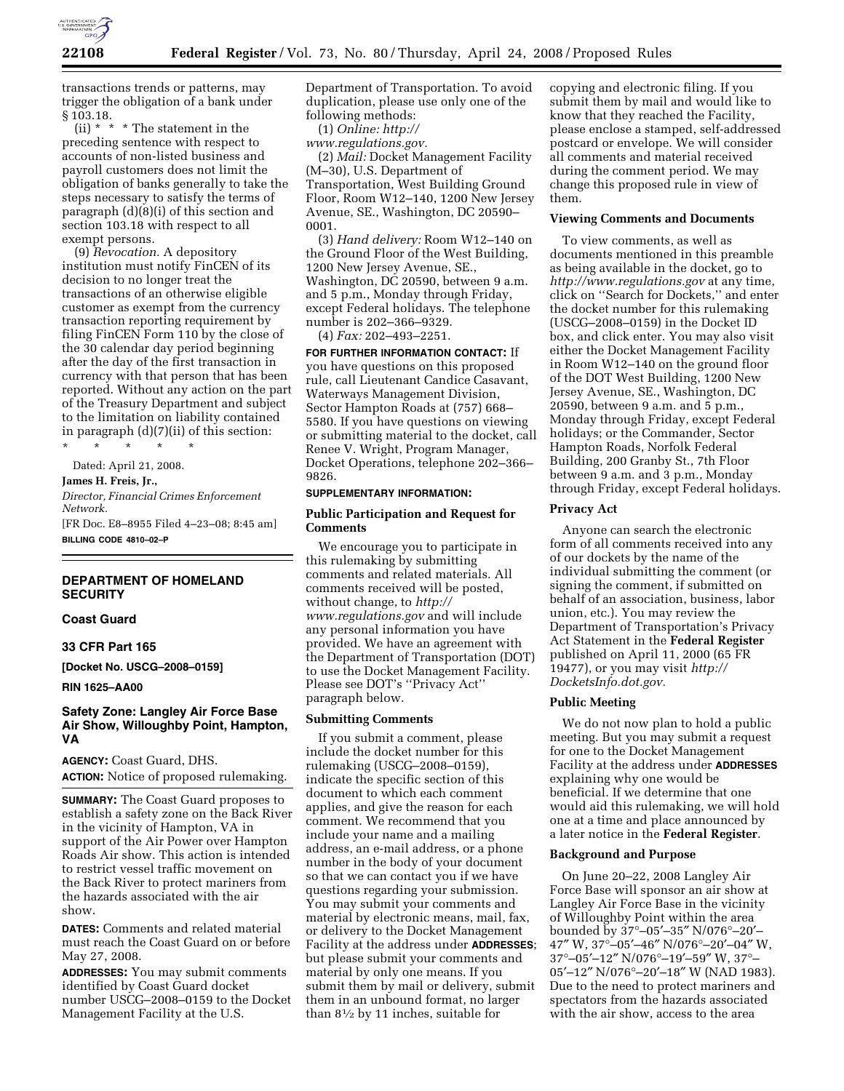

transactions trends or patterns, may trigger the obligation of a bank under  $$103.18.$  (ii) \* \*

\* The statement in the preceding sentence with respect to accounts of non-listed business and payroll customers does not limit the obligation of banks generally to take the steps necessary to satisfy the terms of paragraph (d)(8)(i) of this section and section 103.18 with respect to all exempt persons.

(9) *Revocation.* A depository institution must notify FinCEN of its decision to no longer treat the transactions of an otherwise eligible customer as exempt from the currency transaction reporting requirement by filing FinCEN Form 110 by the close of the 30 calendar day period beginning after the day of the first transaction in currency with that person that has been reported. Without any action on the part of the Treasury Department and subject to the limitation on liability contained in paragraph (d)(7)(ii) of this section:

\* \* \* \* \* Dated: April 21, 2008. **James H. Freis, Jr.,**  *Director, Financial Crimes Enforcement Network.*  [FR Doc. E8–8955 Filed 4–23–08; 8:45 am] **BILLING CODE 4810–02–P** 

## **DEPARTMENT OF HOMELAND SECURITY**

## **Coast Guard**

#### **33 CFR Part 165**

**[Docket No. USCG–2008–0159]** 

**RIN 1625–AA00** 

## **Safety Zone: Langley Air Force Base Air Show, Willoughby Point, Hampton, VA**

**AGENCY:** Coast Guard, DHS.

**ACTION:** Notice of proposed rulemaking.

**SUMMARY:** The Coast Guard proposes to establish a safety zone on the Back River in the vicinity of Hampton, VA in support of the Air Power over Hampton Roads Air show. This action is intended to restrict vessel traffic movement on the Back River to protect mariners from the hazards associated with the air show.

**DATES:** Comments and related material must reach the Coast Guard on or before May 27, 2008.

**ADDRESSES:** You may submit comments identified by Coast Guard docket number USCG–2008–0159 to the Docket Management Facility at the U.S.

Department of Transportation. To avoid duplication, please use only one of the following methods:

(1) *Online: http://* 

*www.regulations.gov.* 

(2) *Mail:* Docket Management Facility (M–30), U.S. Department of Transportation, West Building Ground Floor, Room W12–140, 1200 New Jersey Avenue, SE., Washington, DC 20590– 0001.

(3) *Hand delivery:* Room W12–140 on the Ground Floor of the West Building, 1200 New Jersey Avenue, SE., Washington, DC 20590, between 9 a.m. and 5 p.m., Monday through Friday, except Federal holidays. The telephone number is 202–366–9329.

(4) *Fax:* 202–493–2251.

**FOR FURTHER INFORMATION CONTACT:** If you have questions on this proposed rule, call Lieutenant Candice Casavant, Waterways Management Division, Sector Hampton Roads at (757) 668– 5580. If you have questions on viewing or submitting material to the docket, call Renee V. Wright, Program Manager, Docket Operations, telephone 202–366– 9826.

#### **SUPPLEMENTARY INFORMATION:**

## **Public Participation and Request for Comments**

We encourage you to participate in this rulemaking by submitting comments and related materials. All comments received will be posted, without change, to *http:// www.regulations.gov* and will include any personal information you have provided. We have an agreement with the Department of Transportation (DOT) to use the Docket Management Facility. Please see DOT's ''Privacy Act'' paragraph below.

## **Submitting Comments**

If you submit a comment, please include the docket number for this rulemaking (USCG–2008–0159), indicate the specific section of this document to which each comment applies, and give the reason for each comment. We recommend that you include your name and a mailing address, an e-mail address, or a phone number in the body of your document so that we can contact you if we have questions regarding your submission. You may submit your comments and material by electronic means, mail, fax, or delivery to the Docket Management Facility at the address under **ADDRESSES**; but please submit your comments and material by only one means. If you submit them by mail or delivery, submit them in an unbound format, no larger than 81⁄2 by 11 inches, suitable for

copying and electronic filing. If you submit them by mail and would like to know that they reached the Facility, please enclose a stamped, self-addressed postcard or envelope. We will consider all comments and material received during the comment period. We may change this proposed rule in view of them.

### **Viewing Comments and Documents**

To view comments, as well as documents mentioned in this preamble as being available in the docket, go to *http://www.regulations.gov* at any time, click on ''Search for Dockets,'' and enter the docket number for this rulemaking (USCG–2008–0159) in the Docket ID box, and click enter. You may also visit either the Docket Management Facility in Room W12–140 on the ground floor of the DOT West Building, 1200 New Jersey Avenue, SE., Washington, DC 20590, between 9 a.m. and 5 p.m., Monday through Friday, except Federal holidays; or the Commander, Sector Hampton Roads, Norfolk Federal Building, 200 Granby St., 7th Floor between 9 a.m. and 3 p.m., Monday through Friday, except Federal holidays.

### **Privacy Act**

Anyone can search the electronic form of all comments received into any of our dockets by the name of the individual submitting the comment (or signing the comment, if submitted on behalf of an association, business, labor union, etc.). You may review the Department of Transportation's Privacy Act Statement in the **Federal Register**  published on April 11, 2000 (65 FR 19477), or you may visit *http:// DocketsInfo.dot.gov.* 

# **Public Meeting**

We do not now plan to hold a public meeting. But you may submit a request for one to the Docket Management Facility at the address under **ADDRESSES** explaining why one would be beneficial. If we determine that one would aid this rulemaking, we will hold one at a time and place announced by a later notice in the **Federal Register**.

### **Background and Purpose**

On June 20–22, 2008 Langley Air Force Base will sponsor an air show at Langley Air Force Base in the vicinity of Willoughby Point within the area bounded by 37°–05′–35″ N/076°–20′– 47″ W, 37°–05′–46″ N/076°–20′–04″ W, 37°–05′–12″ N/076°–19′–59″ W, 37°– 05′–12″ N/076°–20′–18″ W (NAD 1983). Due to the need to protect mariners and spectators from the hazards associated with the air show, access to the area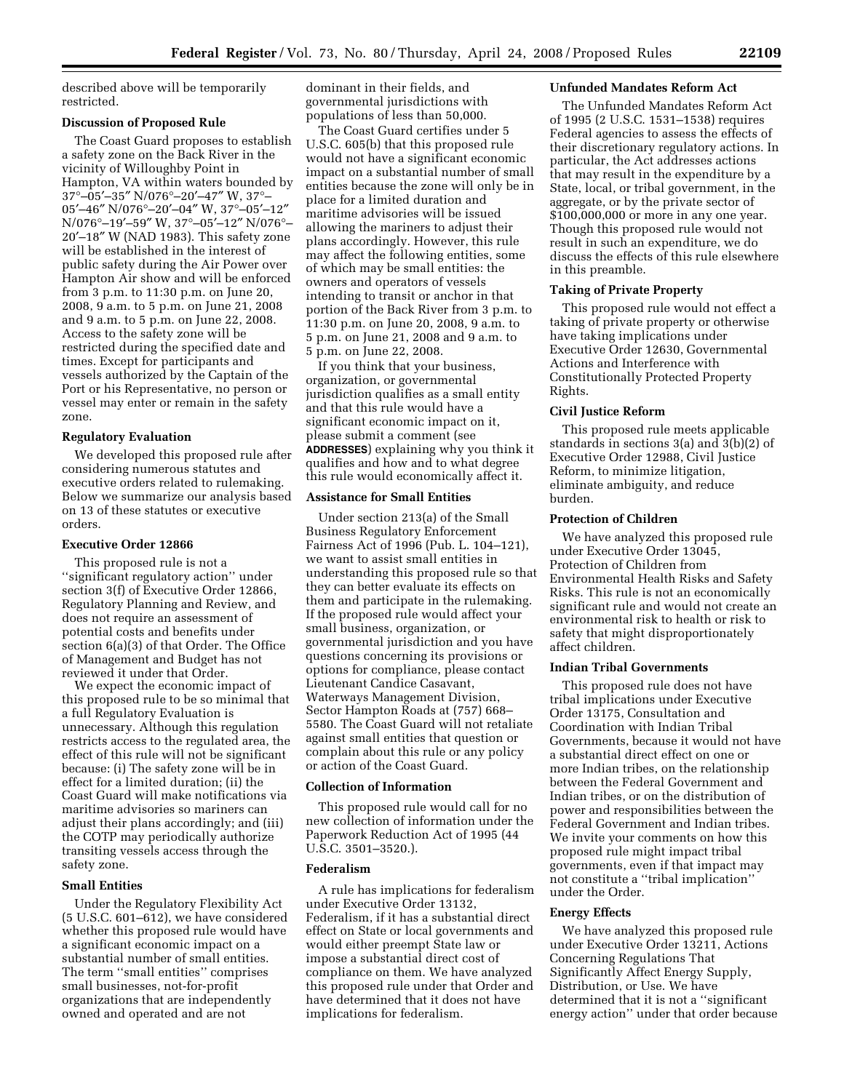described above will be temporarily restricted.

## **Discussion of Proposed Rule**

The Coast Guard proposes to establish a safety zone on the Back River in the vicinity of Willoughby Point in Hampton, VA within waters bounded by 37°–05′–35″ N/076°–20′–47″ W, 37°– 05′–46″ N/076°–20′–04″ W, 37°–05′–12″ N/076°–19′–59″ W, 37°–05′–12″ N/076°– 20′–18″ W (NAD 1983). This safety zone will be established in the interest of public safety during the Air Power over Hampton Air show and will be enforced from 3 p.m. to 11:30 p.m. on June 20, 2008, 9 a.m. to 5 p.m. on June 21, 2008 and 9 a.m. to 5 p.m. on June 22, 2008. Access to the safety zone will be restricted during the specified date and times. Except for participants and vessels authorized by the Captain of the Port or his Representative, no person or vessel may enter or remain in the safety zone.

## **Regulatory Evaluation**

We developed this proposed rule after considering numerous statutes and executive orders related to rulemaking. Below we summarize our analysis based on 13 of these statutes or executive orders.

#### **Executive Order 12866**

This proposed rule is not a ''significant regulatory action'' under section 3(f) of Executive Order 12866, Regulatory Planning and Review, and does not require an assessment of potential costs and benefits under section 6(a)(3) of that Order. The Office of Management and Budget has not reviewed it under that Order.

We expect the economic impact of this proposed rule to be so minimal that a full Regulatory Evaluation is unnecessary. Although this regulation restricts access to the regulated area, the effect of this rule will not be significant because: (i) The safety zone will be in effect for a limited duration; (ii) the Coast Guard will make notifications via maritime advisories so mariners can adjust their plans accordingly; and (iii) the COTP may periodically authorize transiting vessels access through the safety zone.

### **Small Entities**

Under the Regulatory Flexibility Act (5 U.S.C. 601–612), we have considered whether this proposed rule would have a significant economic impact on a substantial number of small entities. The term ''small entities'' comprises small businesses, not-for-profit organizations that are independently owned and operated and are not

dominant in their fields, and governmental jurisdictions with populations of less than 50,000.

The Coast Guard certifies under 5 U.S.C. 605(b) that this proposed rule would not have a significant economic impact on a substantial number of small entities because the zone will only be in place for a limited duration and maritime advisories will be issued allowing the mariners to adjust their plans accordingly. However, this rule may affect the following entities, some of which may be small entities: the owners and operators of vessels intending to transit or anchor in that portion of the Back River from 3 p.m. to 11:30 p.m. on June 20, 2008, 9 a.m. to 5 p.m. on June 21, 2008 and 9 a.m. to 5 p.m. on June 22, 2008.

If you think that your business, organization, or governmental jurisdiction qualifies as a small entity and that this rule would have a significant economic impact on it, please submit a comment (see **ADDRESSES**) explaining why you think it qualifies and how and to what degree this rule would economically affect it.

#### **Assistance for Small Entities**

Under section 213(a) of the Small Business Regulatory Enforcement Fairness Act of 1996 (Pub. L. 104–121), we want to assist small entities in understanding this proposed rule so that they can better evaluate its effects on them and participate in the rulemaking. If the proposed rule would affect your small business, organization, or governmental jurisdiction and you have questions concerning its provisions or options for compliance, please contact Lieutenant Candice Casavant, Waterways Management Division, Sector Hampton Roads at (757) 668– 5580. The Coast Guard will not retaliate against small entities that question or complain about this rule or any policy or action of the Coast Guard.

# **Collection of Information**

This proposed rule would call for no new collection of information under the Paperwork Reduction Act of 1995 (44 U.S.C. 3501–3520.).

### **Federalism**

A rule has implications for federalism under Executive Order 13132, Federalism, if it has a substantial direct effect on State or local governments and would either preempt State law or impose a substantial direct cost of compliance on them. We have analyzed this proposed rule under that Order and have determined that it does not have implications for federalism.

#### **Unfunded Mandates Reform Act**

The Unfunded Mandates Reform Act of 1995 (2 U.S.C. 1531–1538) requires Federal agencies to assess the effects of their discretionary regulatory actions. In particular, the Act addresses actions that may result in the expenditure by a State, local, or tribal government, in the aggregate, or by the private sector of \$100,000,000 or more in any one year. Though this proposed rule would not result in such an expenditure, we do discuss the effects of this rule elsewhere in this preamble.

#### **Taking of Private Property**

This proposed rule would not effect a taking of private property or otherwise have taking implications under Executive Order 12630, Governmental Actions and Interference with Constitutionally Protected Property Rights.

### **Civil Justice Reform**

This proposed rule meets applicable standards in sections 3(a) and 3(b)(2) of Executive Order 12988, Civil Justice Reform, to minimize litigation, eliminate ambiguity, and reduce burden.

#### **Protection of Children**

We have analyzed this proposed rule under Executive Order 13045, Protection of Children from Environmental Health Risks and Safety Risks. This rule is not an economically significant rule and would not create an environmental risk to health or risk to safety that might disproportionately affect children.

## **Indian Tribal Governments**

This proposed rule does not have tribal implications under Executive Order 13175, Consultation and Coordination with Indian Tribal Governments, because it would not have a substantial direct effect on one or more Indian tribes, on the relationship between the Federal Government and Indian tribes, or on the distribution of power and responsibilities between the Federal Government and Indian tribes. We invite your comments on how this proposed rule might impact tribal governments, even if that impact may not constitute a ''tribal implication'' under the Order.

### **Energy Effects**

We have analyzed this proposed rule under Executive Order 13211, Actions Concerning Regulations That Significantly Affect Energy Supply, Distribution, or Use. We have determined that it is not a ''significant energy action'' under that order because